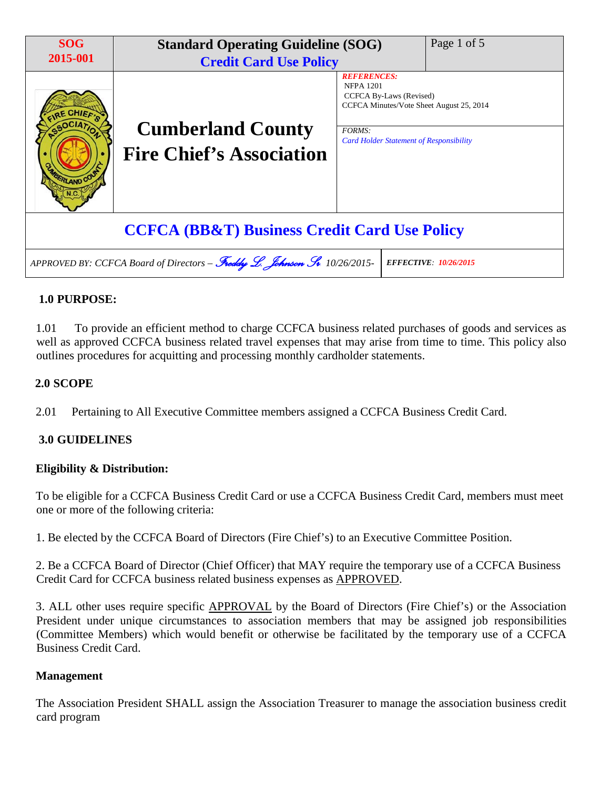| <b>SOG</b><br>2015-001                                                                                    | <b>Standard Operating Guideline (SOG)</b><br><b>Credit Card Use Policy</b> |                                                                                                                                | Page 1 of 5 |
|-----------------------------------------------------------------------------------------------------------|----------------------------------------------------------------------------|--------------------------------------------------------------------------------------------------------------------------------|-------------|
| <b>RLAND CO</b>                                                                                           | <b>Cumberland County</b><br><b>Fire Chief's Association</b>                | <b>REFERENCES:</b><br><b>NFPA 1201</b><br>CCFCA By-Laws (Revised)<br>CCFCA Minutes/Vote Sheet August 25, 2014<br><b>FORMS:</b> |             |
|                                                                                                           |                                                                            | <b>Card Holder Statement of Responsibility</b>                                                                                 |             |
|                                                                                                           | <b>CCFCA (BB&amp;T) Business Credit Card Use Policy</b>                    |                                                                                                                                |             |
| APPROVED BY: CCFCA Board of Directors - Freddy L. Johnson St. 10/26/2015-<br><b>EFFECTIVE: 10/26/2015</b> |                                                                            |                                                                                                                                |             |

## **1.0 PURPOSE:**

1.01 To provide an efficient method to charge CCFCA business related purchases of goods and services as well as approved CCFCA business related travel expenses that may arise from time to time. This policy also outlines procedures for acquitting and processing monthly cardholder statements.

## **2.0 SCOPE**

2.01 Pertaining to All Executive Committee members assigned a CCFCA Business Credit Card.

## **3.0 GUIDELINES**

## **Eligibility & Distribution:**

To be eligible for a CCFCA Business Credit Card or use a CCFCA Business Credit Card, members must meet one or more of the following criteria:

1. Be elected by the CCFCA Board of Directors (Fire Chief's) to an Executive Committee Position.

2. Be a CCFCA Board of Director (Chief Officer) that MAY require the temporary use of a CCFCA Business Credit Card for CCFCA business related business expenses as APPROVED.

3. ALL other uses require specific APPROVAL by the Board of Directors (Fire Chief's) or the Association President under unique circumstances to association members that may be assigned job responsibilities (Committee Members) which would benefit or otherwise be facilitated by the temporary use of a CCFCA Business Credit Card.

#### **Management**

The Association President SHALL assign the Association Treasurer to manage the association business credit card program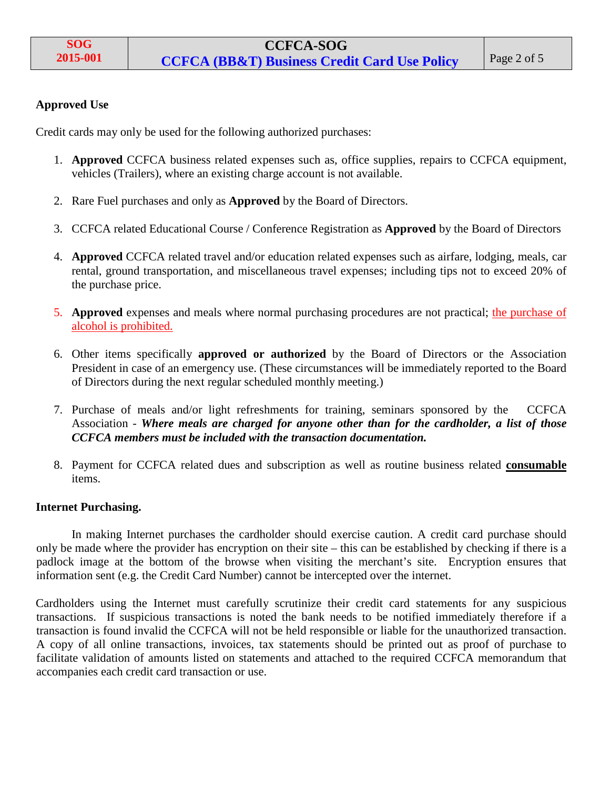### **Approved Use**

Credit cards may only be used for the following authorized purchases:

- 1. **Approved** CCFCA business related expenses such as, office supplies, repairs to CCFCA equipment, vehicles (Trailers), where an existing charge account is not available.
- 2. Rare Fuel purchases and only as **Approved** by the Board of Directors.
- 3. CCFCA related Educational Course / Conference Registration as **Approved** by the Board of Directors
- 4. **Approved** CCFCA related travel and/or education related expenses such as airfare, lodging, meals, car rental, ground transportation, and miscellaneous travel expenses; including tips not to exceed 20% of the purchase price.
- 5. **Approved** expenses and meals where normal purchasing procedures are not practical; the purchase of alcohol is prohibited.
- 6. Other items specifically **approved or authorized** by the Board of Directors or the Association President in case of an emergency use. (These circumstances will be immediately reported to the Board of Directors during the next regular scheduled monthly meeting.)
- 7. Purchase of meals and/or light refreshments for training, seminars sponsored by the CCFCA Association - *Where meals are charged for anyone other than for the cardholder, a list of those CCFCA members must be included with the transaction documentation.*
- 8. Payment for CCFCA related dues and subscription as well as routine business related **consumable**  items.

#### **Internet Purchasing.**

In making Internet purchases the cardholder should exercise caution. A credit card purchase should only be made where the provider has encryption on their site – this can be established by checking if there is a padlock image at the bottom of the browse when visiting the merchant's site. Encryption ensures that information sent (e.g. the Credit Card Number) cannot be intercepted over the internet.

Cardholders using the Internet must carefully scrutinize their credit card statements for any suspicious transactions. If suspicious transactions is noted the bank needs to be notified immediately therefore if a transaction is found invalid the CCFCA will not be held responsible or liable for the unauthorized transaction. A copy of all online transactions, invoices, tax statements should be printed out as proof of purchase to facilitate validation of amounts listed on statements and attached to the required CCFCA memorandum that accompanies each credit card transaction or use.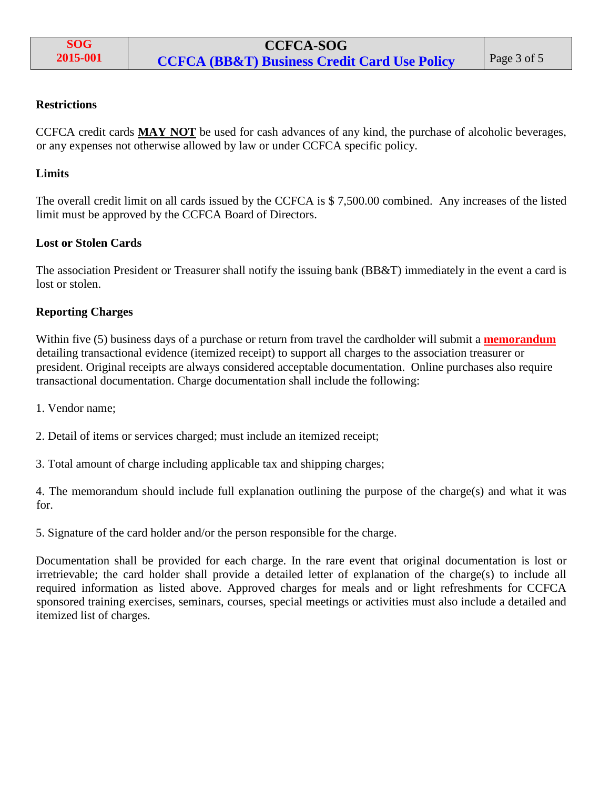### **Restrictions**

CCFCA credit cards **MAY NOT** be used for cash advances of any kind, the purchase of alcoholic beverages, or any expenses not otherwise allowed by law or under CCFCA specific policy.

### **Limits**

The overall credit limit on all cards issued by the CCFCA is \$ 7,500.00 combined. Any increases of the listed limit must be approved by the CCFCA Board of Directors.

#### **Lost or Stolen Cards**

The association President or Treasurer shall notify the issuing bank (BB&T) immediately in the event a card is lost or stolen.

## **Reporting Charges**

Within five (5) business days of a purchase or return from travel the cardholder will submit a **memorandum** detailing transactional evidence (itemized receipt) to support all charges to the association treasurer or president. Original receipts are always considered acceptable documentation. Online purchases also require transactional documentation. Charge documentation shall include the following:

1. Vendor name;

2. Detail of items or services charged; must include an itemized receipt;

3. Total amount of charge including applicable tax and shipping charges;

4. The memorandum should include full explanation outlining the purpose of the charge(s) and what it was for.

5. Signature of the card holder and/or the person responsible for the charge.

Documentation shall be provided for each charge. In the rare event that original documentation is lost or irretrievable; the card holder shall provide a detailed letter of explanation of the charge(s) to include all required information as listed above. Approved charges for meals and or light refreshments for CCFCA sponsored training exercises, seminars, courses, special meetings or activities must also include a detailed and itemized list of charges.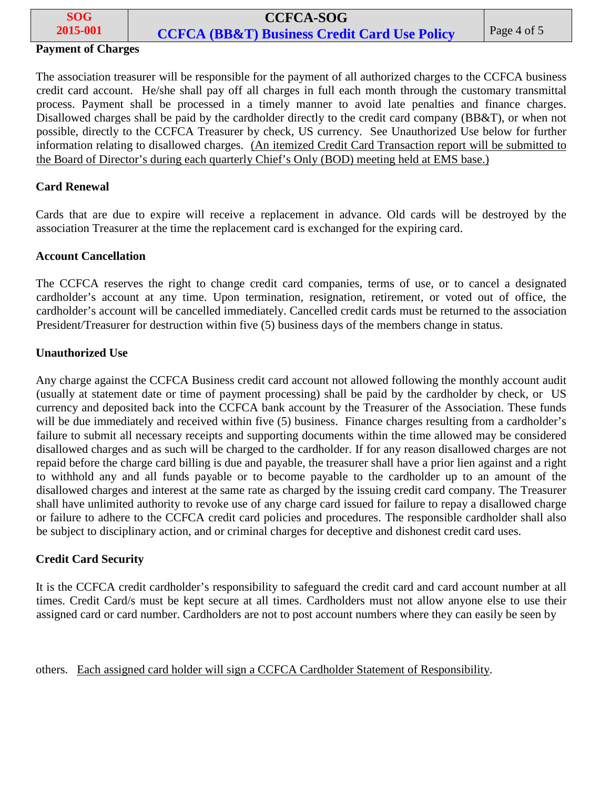| <b>SOG</b> | <b>CCFCA-SOG</b>                                        |             |
|------------|---------------------------------------------------------|-------------|
| 2015-001   | <b>CCFCA (BB&amp;T) Business Credit Card Use Policy</b> | Page 4 of 5 |

## **Payment of Charges**

The association treasurer will be responsible for the payment of all authorized charges to the CCFCA business credit card account. He/she shall pay off all charges in full each month through the customary transmittal process. Payment shall be processed in a timely manner to avoid late penalties and finance charges. Disallowed charges shall be paid by the cardholder directly to the credit card company (BB&T), or when not possible, directly to the CCFCA Treasurer by check, US currency. See Unauthorized Use below for further information relating to disallowed charges. (An itemized Credit Card Transaction report will be submitted to the Board of Director's during each quarterly Chief's Only (BOD) meeting held at EMS base.)

#### **Card Renewal**

Cards that are due to expire will receive a replacement in advance. Old cards will be destroyed by the association Treasurer at the time the replacement card is exchanged for the expiring card.

#### **Account Cancellation**

The CCFCA reserves the right to change credit card companies, terms of use, or to cancel a designated cardholder's account at any time. Upon termination, resignation, retirement, or voted out of office, the cardholder's account will be cancelled immediately. Cancelled credit cards must be returned to the association President/Treasurer for destruction within five (5) business days of the members change in status.

#### **Unauthorized Use**

Any charge against the CCFCA Business credit card account not allowed following the monthly account audit (usually at statement date or time of payment processing) shall be paid by the cardholder by check, or US currency and deposited back into the CCFCA bank account by the Treasurer of the Association. These funds will be due immediately and received within five (5) business. Finance charges resulting from a cardholder's failure to submit all necessary receipts and supporting documents within the time allowed may be considered disallowed charges and as such will be charged to the cardholder. If for any reason disallowed charges are not repaid before the charge card billing is due and payable, the treasurer shall have a prior lien against and a right to withhold any and all funds payable or to become payable to the cardholder up to an amount of the disallowed charges and interest at the same rate as charged by the issuing credit card company. The Treasurer shall have unlimited authority to revoke use of any charge card issued for failure to repay a disallowed charge or failure to adhere to the CCFCA credit card policies and procedures. The responsible cardholder shall also be subject to disciplinary action, and or criminal charges for deceptive and dishonest credit card uses.

#### **Credit Card Security**

It is the CCFCA credit cardholder's responsibility to safeguard the credit card and card account number at all times. Credit Card/s must be kept secure at all times. Cardholders must not allow anyone else to use their assigned card or card number. Cardholders are not to post account numbers where they can easily be seen by

others. Each assigned card holder will sign a CCFCA Cardholder Statement of Responsibility.